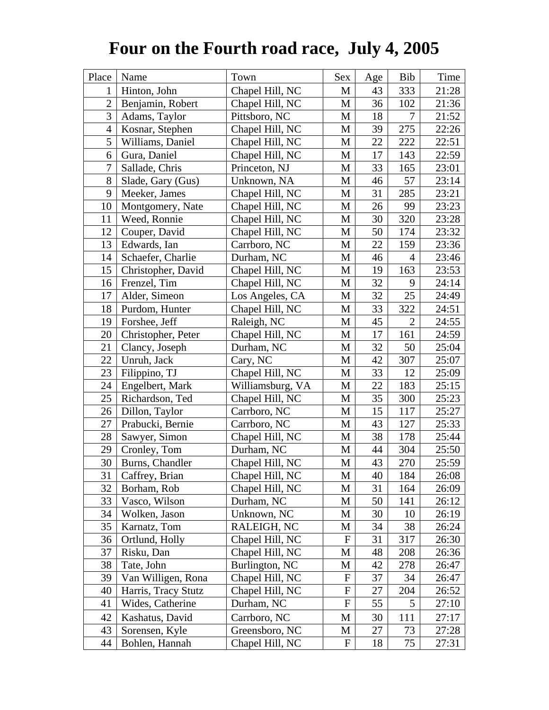## **Four on the Fourth road race, July 4, 2005**

| Place          | Name                | Town             | Sex                       | Age | Bib            | Time  |
|----------------|---------------------|------------------|---------------------------|-----|----------------|-------|
| 1              | Hinton, John        | Chapel Hill, NC  | M                         | 43  | 333            | 21:28 |
| $\overline{2}$ | Benjamin, Robert    | Chapel Hill, NC  | M                         | 36  | 102            | 21:36 |
| 3              | Adams, Taylor       | Pittsboro, NC    | M                         | 18  | $\overline{7}$ | 21:52 |
| $\overline{4}$ | Kosnar, Stephen     | Chapel Hill, NC  | M                         | 39  | 275            | 22:26 |
| 5              | Williams, Daniel    | Chapel Hill, NC  | M                         | 22  | 222            | 22:51 |
| 6              | Gura, Daniel        | Chapel Hill, NC  | M                         | 17  | 143            | 22:59 |
| 7              | Sallade, Chris      | Princeton, NJ    | M                         | 33  | 165            | 23:01 |
| 8              | Slade, Gary (Gus)   | Unknown, NA      | M                         | 46  | 57             | 23:14 |
| 9              | Meeker, James       | Chapel Hill, NC  | M                         | 31  | 285            | 23:21 |
| 10             | Montgomery, Nate    | Chapel Hill, NC  | M                         | 26  | 99             | 23:23 |
| 11             | Weed, Ronnie        | Chapel Hill, NC  | M                         | 30  | 320            | 23:28 |
| 12             | Couper, David       | Chapel Hill, NC  | M                         | 50  | 174            | 23:32 |
| 13             | Edwards, Ian        | Carrboro, NC     | $\mathbf M$               | 22  | 159            | 23:36 |
| 14             | Schaefer, Charlie   | Durham, NC       | M                         | 46  | $\overline{4}$ | 23:46 |
| 15             | Christopher, David  | Chapel Hill, NC  | M                         | 19  | 163            | 23:53 |
| 16             | Frenzel, Tim        | Chapel Hill, NC  | M                         | 32  | 9              | 24:14 |
| 17             | Alder, Simeon       | Los Angeles, CA  | M                         | 32  | 25             | 24:49 |
| 18             | Purdom, Hunter      | Chapel Hill, NC  | M                         | 33  | 322            | 24:51 |
| 19             | Forshee, Jeff       | Raleigh, NC      | M                         | 45  | $\overline{2}$ | 24:55 |
| 20             | Christopher, Peter  | Chapel Hill, NC  | M                         | 17  | 161            | 24:59 |
| 21             | Clancy, Joseph      | Durham, NC       | M                         | 32  | 50             | 25:04 |
| 22             | Unruh, Jack         | Cary, NC         | M                         | 42  | 307            | 25:07 |
| 23             | Filippino, TJ       | Chapel Hill, NC  | M                         | 33  | 12             | 25:09 |
| 24             | Engelbert, Mark     | Williamsburg, VA | M                         | 22  | 183            | 25:15 |
| 25             | Richardson, Ted     | Chapel Hill, NC  | M                         | 35  | 300            | 25:23 |
| 26             | Dillon, Taylor      | Carrboro, NC     | M                         | 15  | 117            | 25:27 |
| 27             | Prabucki, Bernie    | Carrboro, NC     | M                         | 43  | 127            | 25:33 |
| 28             | Sawyer, Simon       | Chapel Hill, NC  | M                         | 38  | 178            | 25:44 |
| 29             | Cronley, Tom        | Durham, NC       | M                         | 44  | 304            | 25:50 |
| 30             | Burns, Chandler     | Chapel Hill, NC  | M                         | 43  | 270            | 25:59 |
| 31             | Caffrey, Brian      | Chapel Hill, NC  | M                         | 40  | 184            | 26:08 |
| 32             | Borham, Rob         | Chapel Hill, NC  | M                         | 31  | 164            | 26:09 |
| 33             | Vasco, Wilson       | Durham, NC       | M                         | 50  | 141            | 26:12 |
| 34             | Wolken, Jason       | Unknown, NC      | M                         | 30  | 10             | 26:19 |
| 35             | Karnatz, Tom        | RALEIGH, NC      | M                         | 34  | 38             | 26:24 |
| 36             | Ortlund, Holly      | Chapel Hill, NC  | $\mathbf{F}$              | 31  | 317            | 26:30 |
| 37             | Risku, Dan          | Chapel Hill, NC  | M                         | 48  | 208            | 26:36 |
| 38             | Tate, John          | Burlington, NC   | М                         | 42  | 278            | 26:47 |
| 39             | Van Willigen, Rona  | Chapel Hill, NC  | $\mathbf F$               | 37  | 34             | 26:47 |
| 40             | Harris, Tracy Stutz | Chapel Hill, NC  | $\boldsymbol{\mathrm{F}}$ | 27  | 204            | 26:52 |
| 41             | Wides, Catherine    | Durham, NC       | $\boldsymbol{\mathrm{F}}$ | 55  | 5              | 27:10 |
| 42             | Kashatus, David     | Carrboro, NC     | M                         | 30  | 111            | 27:17 |
| 43             | Sorensen, Kyle      | Greensboro, NC   | М                         | 27  | 73             | 27:28 |
| 44             | Bohlen, Hannah      | Chapel Hill, NC  | $\mathbf F$               | 18  | 75             | 27:31 |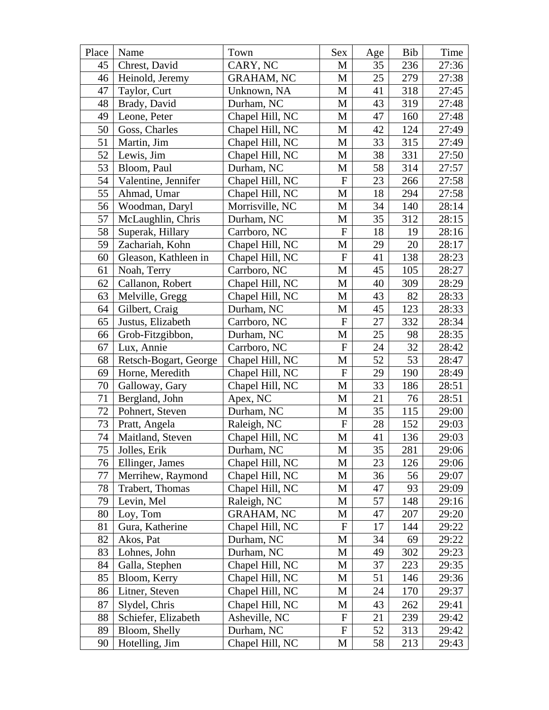| Place | Name                  | Town              | Sex                       | Age | Bib | Time  |
|-------|-----------------------|-------------------|---------------------------|-----|-----|-------|
| 45    | Chrest, David         | CARY, NC          | M                         | 35  | 236 | 27:36 |
| 46    | Heinold, Jeremy       | <b>GRAHAM, NC</b> | M                         | 25  | 279 | 27:38 |
| 47    | Taylor, Curt          | Unknown, NA       | M                         | 41  | 318 | 27:45 |
| 48    | Brady, David          | Durham, NC        | M                         | 43  | 319 | 27:48 |
| 49    | Leone, Peter          | Chapel Hill, NC   | M                         | 47  | 160 | 27:48 |
| 50    | Goss, Charles         | Chapel Hill, NC   | M                         | 42  | 124 | 27:49 |
| 51    | Martin, Jim           | Chapel Hill, NC   | M                         | 33  | 315 | 27:49 |
| 52    | Lewis, Jim            | Chapel Hill, NC   | M                         | 38  | 331 | 27:50 |
| 53    | Bloom, Paul           | Durham, NC        | M                         | 58  | 314 | 27:57 |
| 54    | Valentine, Jennifer   | Chapel Hill, NC   | F                         | 23  | 266 | 27:58 |
| 55    | Ahmad, Umar           | Chapel Hill, NC   | $\mathbf M$               | 18  | 294 | 27:58 |
| 56    | Woodman, Daryl        | Morrisville, NC   | М                         | 34  | 140 | 28:14 |
| 57    | McLaughlin, Chris     | Durham, NC        | M                         | 35  | 312 | 28:15 |
| 58    | Superak, Hillary      | Carrboro, NC      | ${\bf F}$                 | 18  | 19  | 28:16 |
| 59    | Zachariah, Kohn       | Chapel Hill, NC   | M                         | 29  | 20  | 28:17 |
| 60    | Gleason, Kathleen in  | Chapel Hill, NC   | ${\bf F}$                 | 41  | 138 | 28:23 |
| 61    | Noah, Terry           | Carrboro, NC      | M                         | 45  | 105 | 28:27 |
| 62    | Callanon, Robert      | Chapel Hill, NC   | M                         | 40  | 309 | 28:29 |
| 63    | Melville, Gregg       | Chapel Hill, NC   | M                         | 43  | 82  | 28:33 |
| 64    | Gilbert, Craig        | Durham, NC        | M                         | 45  | 123 | 28:33 |
| 65    | Justus, Elizabeth     | Carrboro, NC      | ${\bf F}$                 | 27  | 332 | 28:34 |
| 66    | Grob-Fitzgibbon,      | Durham, NC        | M                         | 25  | 98  | 28:35 |
| 67    | Lux, Annie            | Carrboro, NC      | $\boldsymbol{\mathrm{F}}$ | 24  | 32  | 28:42 |
| 68    | Retsch-Bogart, George | Chapel Hill, NC   | $\mathbf M$               | 52  | 53  | 28:47 |
| 69    | Horne, Meredith       | Chapel Hill, NC   | ${\bf F}$                 | 29  | 190 | 28:49 |
| 70    | Galloway, Gary        | Chapel Hill, NC   | M                         | 33  | 186 | 28:51 |
| 71    | Bergland, John        | Apex, NC          | M                         | 21  | 76  | 28:51 |
| 72    | Pohnert, Steven       | Durham, NC        | M                         | 35  | 115 | 29:00 |
| 73    | Pratt, Angela         | Raleigh, NC       | ${\bf F}$                 | 28  | 152 | 29:03 |
| 74    | Maitland, Steven      | Chapel Hill, NC   | $\mathbf M$               | 41  | 136 | 29:03 |
| 75    | Jolles, Erik          | Durham, NC        | M                         | 35  | 281 | 29:06 |
| 76    | Ellinger, James       | Chapel Hill, NC   | M                         | 23  | 126 | 29:06 |
| 77    | Merrihew, Raymond     | Chapel Hill, NC   | М                         | 36  | 56  | 29:07 |
| 78    | Trabert, Thomas       | Chapel Hill, NC   | M                         | 47  | 93  | 29:09 |
| 79    | Levin, Mel            | Raleigh, NC       | М                         | 57  | 148 | 29:16 |
| 80    | Loy, Tom              | <b>GRAHAM, NC</b> | M                         | 47  | 207 | 29:20 |
| 81    | Gura, Katherine       | Chapel Hill, NC   | $\mathbf F$               | 17  | 144 | 29:22 |
| 82    | Akos, Pat             | Durham, NC        | M                         | 34  | 69  | 29:22 |
| 83    | Lohnes, John          | Durham, NC        | М                         | 49  | 302 | 29:23 |
| 84    | Galla, Stephen        | Chapel Hill, NC   | M                         | 37  | 223 | 29:35 |
| 85    | Bloom, Kerry          | Chapel Hill, NC   | М                         | 51  | 146 | 29:36 |
| 86    | Litner, Steven        | Chapel Hill, NC   | М                         | 24  | 170 | 29:37 |
| 87    | Slydel, Chris         | Chapel Hill, NC   | M                         | 43  | 262 | 29:41 |
| 88    | Schiefer, Elizabeth   | Asheville, NC     | $\mathbf F$               | 21  | 239 | 29:42 |
| 89    | Bloom, Shelly         | Durham, NC        | F                         | 52  | 313 | 29:42 |
| 90    | Hotelling, Jim        | Chapel Hill, NC   | M                         | 58  | 213 | 29:43 |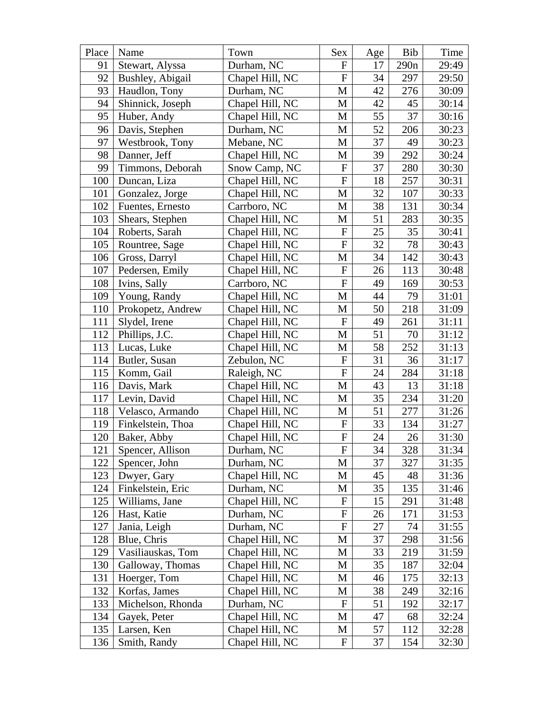| Place | Name              | Town            | Sex                       | Age | Bib  | Time  |
|-------|-------------------|-----------------|---------------------------|-----|------|-------|
| 91    | Stewart, Alyssa   | Durham, NC      | $\mathbf{F}$              | 17  | 290n | 29:49 |
| 92    | Bushley, Abigail  | Chapel Hill, NC | ${\bf F}$                 | 34  | 297  | 29:50 |
| 93    | Haudlon, Tony     | Durham, NC      | M                         | 42  | 276  | 30:09 |
| 94    | Shinnick, Joseph  | Chapel Hill, NC | M                         | 42  | 45   | 30:14 |
| 95    | Huber, Andy       | Chapel Hill, NC | M                         | 55  | 37   | 30:16 |
| 96    | Davis, Stephen    | Durham, NC      | M                         | 52  | 206  | 30:23 |
| 97    | Westbrook, Tony   | Mebane, NC      | M                         | 37  | 49   | 30:23 |
| 98    | Danner, Jeff      | Chapel Hill, NC | M                         | 39  | 292  | 30:24 |
| 99    | Timmons, Deborah  | Snow Camp, NC   | ${\bf F}$                 | 37  | 280  | 30:30 |
| 100   | Duncan, Liza      | Chapel Hill, NC | $\boldsymbol{F}$          | 18  | 257  | 30:31 |
| 101   | Gonzalez, Jorge   | Chapel Hill, NC | $\mathbf M$               | 32  | 107  | 30:33 |
| 102   | Fuentes, Ernesto  | Carrboro, NC    | M                         | 38  | 131  | 30:34 |
| 103   | Shears, Stephen   | Chapel Hill, NC | M                         | 51  | 283  | 30:35 |
| 104   | Roberts, Sarah    | Chapel Hill, NC | ${\bf F}$                 | 25  | 35   | 30:41 |
| 105   | Rountree, Sage    | Chapel Hill, NC | ${\bf F}$                 | 32  | 78   | 30:43 |
| 106   | Gross, Darryl     | Chapel Hill, NC | M                         | 34  | 142  | 30:43 |
| 107   | Pedersen, Emily   | Chapel Hill, NC | ${\bf F}$                 | 26  | 113  | 30:48 |
| 108   | Ivins, Sally      | Carrboro, NC    | $\boldsymbol{\mathrm{F}}$ | 49  | 169  | 30:53 |
| 109   | Young, Randy      | Chapel Hill, NC | M                         | 44  | 79   | 31:01 |
| 110   | Prokopetz, Andrew | Chapel Hill, NC | M                         | 50  | 218  | 31:09 |
| 111   | Slydel, Irene     | Chapel Hill, NC | ${\bf F}$                 | 49  | 261  | 31:11 |
| 112   | Phillips, J.C.    | Chapel Hill, NC | M                         | 51  | 70   | 31:12 |
| 113   | Lucas, Luke       | Chapel Hill, NC | M                         | 58  | 252  | 31:13 |
| 114   | Butler, Susan     | Zebulon, NC     | ${\bf F}$                 | 31  | 36   | 31:17 |
| 115   | Komm, Gail        | Raleigh, NC     | $_{\rm F}$                | 24  | 284  | 31:18 |
| 116   | Davis, Mark       | Chapel Hill, NC | M                         | 43  | 13   | 31:18 |
| 117   | Levin, David      | Chapel Hill, NC | M                         | 35  | 234  | 31:20 |
| 118   | Velasco, Armando  | Chapel Hill, NC | M                         | 51  | 277  | 31:26 |
| 119   | Finkelstein, Thoa | Chapel Hill, NC | ${\bf F}$                 | 33  | 134  | 31:27 |
| 120   | Baker, Abby       | Chapel Hill, NC | ${\bf F}$                 | 24  | 26   | 31:30 |
| 121   | Spencer, Allison  | Durham, NC      | F                         | 34  | 328  | 31:34 |
| 122   | Spencer, John     | Durham, NC      | M                         | 37  | 327  | 31:35 |
| 123   | Dwyer, Gary       | Chapel Hill, NC | M                         | 45  | 48   | 31:36 |
| 124   | Finkelstein, Eric | Durham, NC      | М                         | 35  | 135  | 31:46 |
| 125   | Williams, Jane    | Chapel Hill, NC | $\mathbf F$               | 15  | 291  | 31:48 |
| 126   | Hast, Katie       | Durham, NC      | F                         | 26  | 171  | 31:53 |
| 127   | Jania, Leigh      | Durham, NC      | F                         | 27  | 74   | 31:55 |
| 128   | Blue, Chris       | Chapel Hill, NC | М                         | 37  | 298  | 31:56 |
| 129   | Vasiliauskas, Tom | Chapel Hill, NC | М                         | 33  | 219  | 31:59 |
| 130   | Galloway, Thomas  | Chapel Hill, NC | M                         | 35  | 187  | 32:04 |
| 131   | Hoerger, Tom      | Chapel Hill, NC | М                         | 46  | 175  | 32:13 |
| 132   | Korfas, James     | Chapel Hill, NC | М                         | 38  | 249  | 32:16 |
| 133   | Michelson, Rhonda | Durham, NC      | $\mathbf F$               | 51  | 192  | 32:17 |
| 134   | Gayek, Peter      | Chapel Hill, NC | М                         | 47  | 68   | 32:24 |
| 135   | Larsen, Ken       | Chapel Hill, NC | М                         | 57  | 112  | 32:28 |
| 136   | Smith, Randy      | Chapel Hill, NC | $\mathbf F$               | 37  | 154  | 32:30 |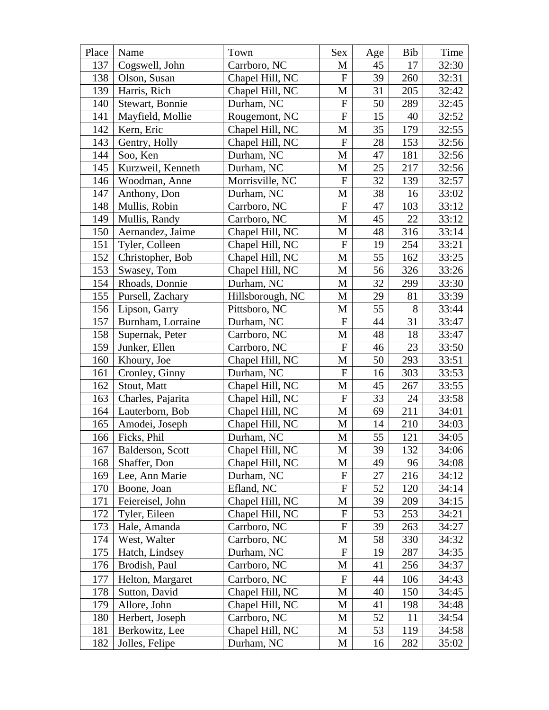| Place | Name              | Town             | Sex                       | Age | Bib | Time  |
|-------|-------------------|------------------|---------------------------|-----|-----|-------|
| 137   | Cogswell, John    | Carrboro, NC     | M                         | 45  | 17  | 32:30 |
| 138   | Olson, Susan      | Chapel Hill, NC  | ${\bf F}$                 | 39  | 260 | 32:31 |
| 139   | Harris, Rich      | Chapel Hill, NC  | M                         | 31  | 205 | 32:42 |
| 140   | Stewart, Bonnie   | Durham, NC       | $\boldsymbol{\mathrm{F}}$ | 50  | 289 | 32:45 |
| 141   | Mayfield, Mollie  | Rougemont, NC    | ${\bf F}$                 | 15  | 40  | 32:52 |
| 142   | Kern, Eric        | Chapel Hill, NC  | M                         | 35  | 179 | 32:55 |
| 143   | Gentry, Holly     | Chapel Hill, NC  | ${\bf F}$                 | 28  | 153 | 32:56 |
| 144   | Soo, Ken          | Durham, NC       | M                         | 47  | 181 | 32:56 |
| 145   | Kurzweil, Kenneth | Durham, NC       | M                         | 25  | 217 | 32:56 |
| 146   | Woodman, Anne     | Morrisville, NC  | $\mathbf F$               | 32  | 139 | 32:57 |
| 147   | Anthony, Don      | Durham, NC       | M                         | 38  | 16  | 33:02 |
| 148   | Mullis, Robin     | Carrboro, NC     | $\boldsymbol{F}$          | 47  | 103 | 33:12 |
| 149   | Mullis, Randy     | Carrboro, NC     | M                         | 45  | 22  | 33:12 |
| 150   | Aernandez, Jaime  | Chapel Hill, NC  | M                         | 48  | 316 | 33:14 |
| 151   | Tyler, Colleen    | Chapel Hill, NC  | $\mathbf F$               | 19  | 254 | 33:21 |
| 152   | Christopher, Bob  | Chapel Hill, NC  | M                         | 55  | 162 | 33:25 |
| 153   | Swasey, Tom       | Chapel Hill, NC  | M                         | 56  | 326 | 33:26 |
| 154   | Rhoads, Donnie    | Durham, NC       | M                         | 32  | 299 | 33:30 |
| 155   | Pursell, Zachary  | Hillsborough, NC | M                         | 29  | 81  | 33:39 |
| 156   | Lipson, Garry     | Pittsboro, NC    | M                         | 55  | 8   | 33:44 |
| 157   | Burnham, Lorraine | Durham, NC       | $\mathbf F$               | 44  | 31  | 33:47 |
| 158   | Supernak, Peter   | Carrboro, NC     | M                         | 48  | 18  | 33:47 |
| 159   | Junker, Ellen     | Carrboro, NC     | $\boldsymbol{F}$          | 46  | 23  | 33:50 |
| 160   | Khoury, Joe       | Chapel Hill, NC  | $\mathbf M$               | 50  | 293 | 33:51 |
| 161   | Cronley, Ginny    | Durham, NC       | ${\bf F}$                 | 16  | 303 | 33:53 |
| 162   | Stout, Matt       | Chapel Hill, NC  | M                         | 45  | 267 | 33:55 |
| 163   | Charles, Pajarita | Chapel Hill, NC  | ${\bf F}$                 | 33  | 24  | 33:58 |
| 164   | Lauterborn, Bob   | Chapel Hill, NC  | M                         | 69  | 211 | 34:01 |
| 165   | Amodei, Joseph    | Chapel Hill, NC  | M                         | 14  | 210 | 34:03 |
| 166   | Ficks, Phil       | Durham, NC       | M                         | 55  | 121 | 34:05 |
| 167   | Balderson, Scott  | Chapel Hill, NC  | M                         | 39  | 132 | 34:06 |
| 168   | Shaffer, Don      | Chapel Hill, NC  | M                         | 49  | 96  | 34:08 |
| 169   | Lee, Ann Marie    | Durham, NC       | $\mathbf F$               | 27  | 216 | 34:12 |
| 170   | Boone, Joan       | Efland, NC       | ${\bf F}$                 | 52  | 120 | 34:14 |
| 171   | Feiereisel, John  | Chapel Hill, NC  | M                         | 39  | 209 | 34:15 |
| 172   | Tyler, Eileen     | Chapel Hill, NC  | $\mathbf F$               | 53  | 253 | 34:21 |
| 173   | Hale, Amanda      | Carrboro, NC     | $\mathbf F$               | 39  | 263 | 34:27 |
| 174   | West, Walter      | Carrboro, NC     | M                         | 58  | 330 | 34:32 |
| 175   | Hatch, Lindsey    | Durham, NC       | $\mathbf F$               | 19  | 287 | 34:35 |
| 176   | Brodish, Paul     | Carrboro, NC     | M                         | 41  | 256 | 34:37 |
| 177   | Helton, Margaret  | Carrboro, NC     | $\mathbf F$               | 44  | 106 | 34:43 |
| 178   | Sutton, David     | Chapel Hill, NC  | M                         | 40  | 150 | 34:45 |
| 179   | Allore, John      | Chapel Hill, NC  | M                         | 41  | 198 | 34:48 |
| 180   | Herbert, Joseph   | Carrboro, NC     | M                         | 52  | 11  | 34:54 |
| 181   | Berkowitz, Lee    | Chapel Hill, NC  | M                         | 53  | 119 | 34:58 |
| 182   | Jolles, Felipe    | Durham, NC       | M                         | 16  | 282 | 35:02 |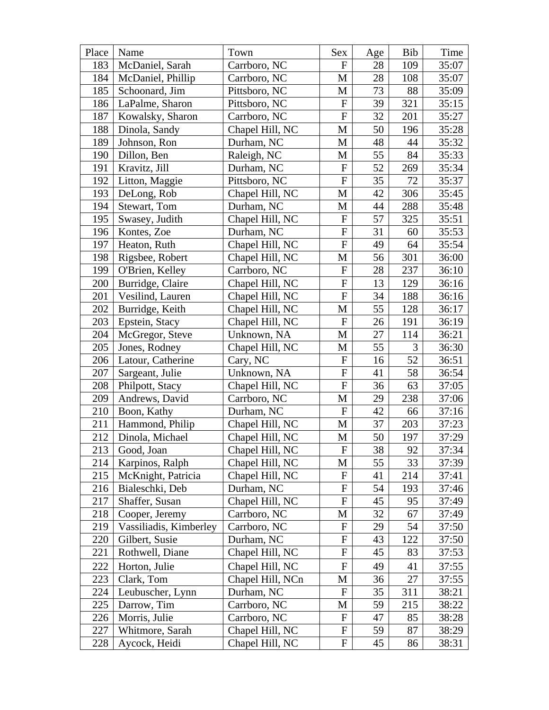| Place | Name                   | Town             | Sex                       | Age | Bib | Time  |
|-------|------------------------|------------------|---------------------------|-----|-----|-------|
| 183   | McDaniel, Sarah        | Carrboro, NC     | $\mathbf{F}$              | 28  | 109 | 35:07 |
| 184   | McDaniel, Phillip      | Carrboro, NC     | M                         | 28  | 108 | 35:07 |
| 185   | Schoonard, Jim         | Pittsboro, NC    | M                         | 73  | 88  | 35:09 |
| 186   | LaPalme, Sharon        | Pittsboro, NC    | ${\bf F}$                 | 39  | 321 | 35:15 |
| 187   | Kowalsky, Sharon       | Carrboro, NC     | ${\bf F}$                 | 32  | 201 | 35:27 |
| 188   | Dinola, Sandy          | Chapel Hill, NC  | M                         | 50  | 196 | 35:28 |
| 189   | Johnson, Ron           | Durham, NC       | M                         | 48  | 44  | 35:32 |
| 190   | Dillon, Ben            | Raleigh, NC      | M                         | 55  | 84  | 35:33 |
| 191   | Kravitz, Jill          | Durham, NC       | $\boldsymbol{\mathrm{F}}$ | 52  | 269 | 35:34 |
| 192   | Litton, Maggie         | Pittsboro, NC    | $\boldsymbol{\mathrm{F}}$ | 35  | 72  | 35:37 |
| 193   | DeLong, Rob            | Chapel Hill, NC  | $\mathbf{M}$              | 42  | 306 | 35:45 |
| 194   | Stewart, Tom           | Durham, NC       | M                         | 44  | 288 | 35:48 |
| 195   | Swasey, Judith         | Chapel Hill, NC  | ${\bf F}$                 | 57  | 325 | 35:51 |
| 196   | Kontes, Zoe            | Durham, NC       | $\mathbf F$               | 31  | 60  | 35:53 |
| 197   | Heaton, Ruth           | Chapel Hill, NC  | ${\bf F}$                 | 49  | 64  | 35:54 |
| 198   | Rigsbee, Robert        | Chapel Hill, NC  | M                         | 56  | 301 | 36:00 |
| 199   | O'Brien, Kelley        | Carrboro, NC     | ${\bf F}$                 | 28  | 237 | 36:10 |
| 200   | Burridge, Claire       | Chapel Hill, NC  | $\boldsymbol{\mathrm{F}}$ | 13  | 129 | 36:16 |
| 201   | Vesilind, Lauren       | Chapel Hill, NC  | ${\bf F}$                 | 34  | 188 | 36:16 |
| 202   | Burridge, Keith        | Chapel Hill, NC  | M                         | 55  | 128 | 36:17 |
| 203   | Epstein, Stacy         | Chapel Hill, NC  | $_{\rm F}$                | 26  | 191 | 36:19 |
| 204   | McGregor, Steve        | Unknown, NA      | M                         | 27  | 114 | 36:21 |
| 205   | Jones, Rodney          | Chapel Hill, NC  | M                         | 55  | 3   | 36:30 |
| 206   | Latour, Catherine      | Cary, NC         | ${\bf F}$                 | 16  | 52  | 36:51 |
| 207   | Sargeant, Julie        | Unknown, NA      | ${\bf F}$                 | 41  | 58  | 36:54 |
| 208   | Philpott, Stacy        | Chapel Hill, NC  | ${\bf F}$                 | 36  | 63  | 37:05 |
| 209   | Andrews, David         | Carrboro, NC     | M                         | 29  | 238 | 37:06 |
| 210   | Boon, Kathy            | Durham, NC       | ${\bf F}$                 | 42  | 66  | 37:16 |
| 211   | Hammond, Philip        | Chapel Hill, NC  | M                         | 37  | 203 | 37:23 |
| 212   | Dinola, Michael        | Chapel Hill, NC  | M                         | 50  | 197 | 37:29 |
| 213   | Good, Joan             | Chapel Hill, NC  | F                         | 38  | 92  | 37:34 |
| 214   | Karpinos, Ralph        | Chapel Hill, NC  | M                         | 55  | 33  | 37:39 |
| 215   | McKnight, Patricia     | Chapel Hill, NC  | $\mathbf F$               | 41  | 214 | 37:41 |
| 216   | Bialeschki, Deb        | Durham, NC       | ${\rm F}$                 | 54  | 193 | 37:46 |
| 217   | Shaffer, Susan         | Chapel Hill, NC  | $\boldsymbol{\mathrm{F}}$ | 45  | 95  | 37:49 |
| 218   | Cooper, Jeremy         | Carrboro, NC     | M                         | 32  | 67  | 37:49 |
| 219   | Vassiliadis, Kimberley | Carrboro, NC     | F                         | 29  | 54  | 37:50 |
| 220   | Gilbert, Susie         | Durham, NC       | F                         | 43  | 122 | 37:50 |
| 221   | Rothwell, Diane        | Chapel Hill, NC  | $\boldsymbol{\mathrm{F}}$ | 45  | 83  | 37:53 |
| 222   | Horton, Julie          | Chapel Hill, NC  | $\boldsymbol{\mathrm{F}}$ | 49  | 41  | 37:55 |
| 223   | Clark, Tom             | Chapel Hill, NCn | M                         | 36  | 27  | 37:55 |
| 224   | Leubuscher, Lynn       | Durham, NC       | $\mathbf F$               | 35  | 311 | 38:21 |
| 225   | Darrow, Tim            | Carrboro, NC     | М                         | 59  | 215 | 38:22 |
| 226   | Morris, Julie          | Carrboro, NC     | $\mathbf F$               | 47  | 85  | 38:28 |
| 227   | Whitmore, Sarah        | Chapel Hill, NC  | $\mathbf F$               | 59  | 87  | 38:29 |
| 228   | Aycock, Heidi          | Chapel Hill, NC  | F                         | 45  | 86  | 38:31 |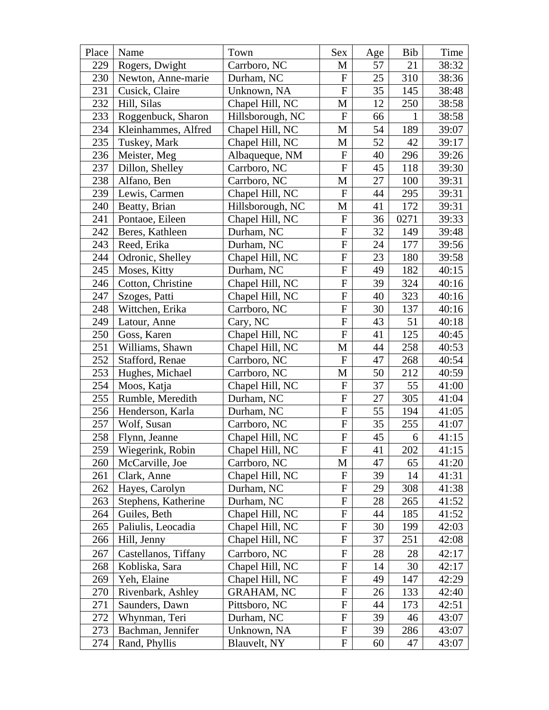| Place | Name                 | Town              | Sex                       | Age | Bib  | Time  |
|-------|----------------------|-------------------|---------------------------|-----|------|-------|
| 229   | Rogers, Dwight       | Carrboro, NC      | M                         | 57  | 21   | 38:32 |
| 230   | Newton, Anne-marie   | Durham, NC        | $\boldsymbol{F}$          | 25  | 310  | 38:36 |
| 231   | Cusick, Claire       | Unknown, NA       | $\overline{F}$            | 35  | 145  | 38:48 |
| 232   | Hill, Silas          | Chapel Hill, NC   | M                         | 12  | 250  | 38:58 |
| 233   | Roggenbuck, Sharon   | Hillsborough, NC  | ${\bf F}$                 | 66  | 1    | 38:58 |
| 234   | Kleinhammes, Alfred  | Chapel Hill, NC   | M                         | 54  | 189  | 39:07 |
| 235   | Tuskey, Mark         | Chapel Hill, NC   | M                         | 52  | 42   | 39:17 |
| 236   | Meister, Meg         | Albaqueque, NM    | ${\bf F}$                 | 40  | 296  | 39:26 |
| 237   | Dillon, Shelley      | Carrboro, NC      | ${\bf F}$                 | 45  | 118  | 39:30 |
| 238   | Alfano, Ben          | Carrboro, NC      | M                         | 27  | 100  | 39:31 |
| 239   | Lewis, Carmen        | Chapel Hill, NC   | ${\bf F}$                 | 44  | 295  | 39:31 |
| 240   | Beatty, Brian        | Hillsborough, NC  | M                         | 41  | 172  | 39:31 |
| 241   | Pontaoe, Eileen      | Chapel Hill, NC   | ${\bf F}$                 | 36  | 0271 | 39:33 |
| 242   | Beres, Kathleen      | Durham, NC        | ${\bf F}$                 | 32  | 149  | 39:48 |
| 243   | Reed, Erika          | Durham, NC        | ${\bf F}$                 | 24  | 177  | 39:56 |
| 244   | Odronic, Shelley     | Chapel Hill, NC   | ${\bf F}$                 | 23  | 180  | 39:58 |
| 245   | Moses, Kitty         | Durham, NC        | ${\bf F}$                 | 49  | 182  | 40:15 |
| 246   | Cotton, Christine    | Chapel Hill, NC   | ${\bf F}$                 | 39  | 324  | 40:16 |
| 247   | Szoges, Patti        | Chapel Hill, NC   | ${\bf F}$                 | 40  | 323  | 40:16 |
| 248   | Wittchen, Erika      | Carrboro, NC      | $\overline{F}$            | 30  | 137  | 40:16 |
| 249   | Latour, Anne         | Cary, NC          | ${\bf F}$                 | 43  | 51   | 40:18 |
| 250   | Goss, Karen          | Chapel Hill, NC   | ${\bf F}$                 | 41  | 125  | 40:45 |
| 251   | Williams, Shawn      | Chapel Hill, NC   | M                         | 44  | 258  | 40:53 |
| 252   | Stafford, Renae      | Carrboro, NC      | ${\bf F}$                 | 47  | 268  | 40:54 |
| 253   | Hughes, Michael      | Carrboro, NC      | M                         | 50  | 212  | 40:59 |
| 254   | Moos, Katja          | Chapel Hill, NC   | ${\bf F}$                 | 37  | 55   | 41:00 |
| 255   | Rumble, Meredith     | Durham, NC        | ${\bf F}$                 | 27  | 305  | 41:04 |
| 256   | Henderson, Karla     | Durham, NC        | ${\bf F}$                 | 55  | 194  | 41:05 |
| 257   | Wolf, Susan          | Carrboro, NC      | ${\bf F}$                 | 35  | 255  | 41:07 |
| 258   | Flynn, Jeanne        | Chapel Hill, NC   | $\boldsymbol{\mathrm{F}}$ | 45  | 6    | 41:15 |
| 259   | Wiegerink, Robin     | Chapel Hill, NC   | $\boldsymbol{\mathrm{F}}$ | 41  | 202  | 41:15 |
| 260   | McCarville, Joe      | Carrboro, NC      | M                         | 47  | 65   | 41:20 |
| 261   | Clark, Anne          | Chapel Hill, NC   | $\mathbf F$               | 39  | 14   | 41:31 |
| 262   | Hayes, Carolyn       | Durham, NC        | $\mathbf F$               | 29  | 308  | 41:38 |
| 263   | Stephens, Katherine  | Durham, NC        | $\mathbf F$               | 28  | 265  | 41:52 |
| 264   | Guiles, Beth         | Chapel Hill, NC   | F                         | 44  | 185  | 41:52 |
| 265   | Paliulis, Leocadia   | Chapel Hill, NC   | ${\bf F}$                 | 30  | 199  | 42:03 |
| 266   | Hill, Jenny          | Chapel Hill, NC   | F                         | 37  | 251  | 42:08 |
| 267   | Castellanos, Tiffany | Carrboro, NC      | $\mathbf F$               | 28  | 28   | 42:17 |
| 268   | Kobliska, Sara       | Chapel Hill, NC   | $\mathbf F$               | 14  | 30   | 42:17 |
| 269   | Yeh, Elaine          | Chapel Hill, NC   | ${\bf F}$                 | 49  | 147  | 42:29 |
| 270   | Rivenbark, Ashley    | <b>GRAHAM, NC</b> | $\mathbf F$               | 26  | 133  | 42:40 |
| 271   | Saunders, Dawn       | Pittsboro, NC     | ${\bf F}$                 | 44  | 173  | 42:51 |
| 272   | Whynman, Teri        | Durham, NC        | $\mathbf F$               | 39  | 46   | 43:07 |
| 273   | Bachman, Jennifer    | Unknown, NA       | ${\bf F}$                 | 39  | 286  | 43:07 |
| 274   | Rand, Phyllis        | Blauvelt, NY      | $\mathbf F$               | 60  | 47   | 43:07 |